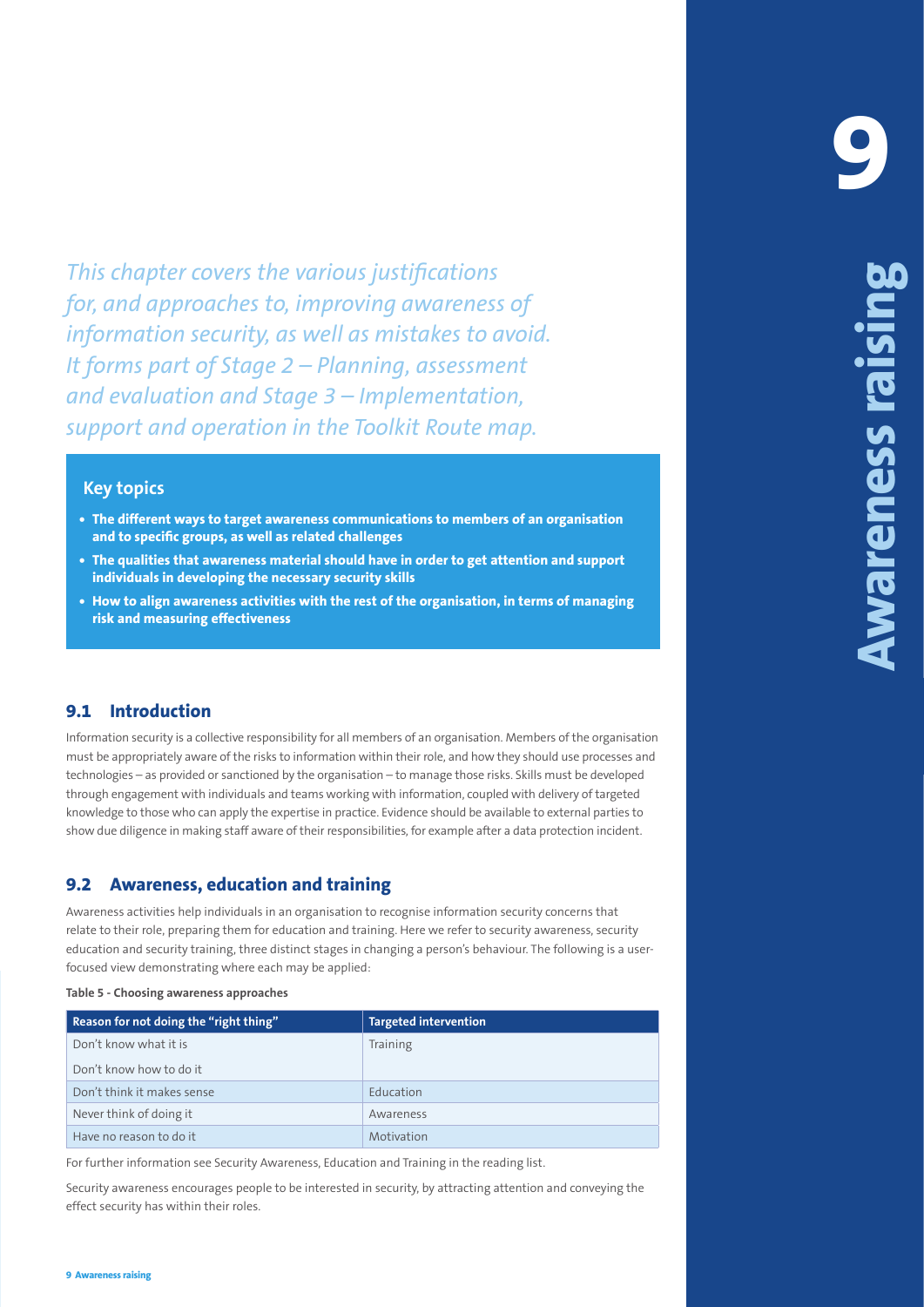This chapter coveres the *warious* justifications is *the control of the control of the control of the state of the control of the state of the state of the control of the state of the control of the state of the state of This chapter covers the various justifications for, and approaches to, improving awareness of information security, as well as mistakes to avoid. It forms part of Stage 2 – Planning, assessment and evaluation and Stage 3 – Implementation, support and operation in the Toolkit Route map.*

#### **Key topics**

- **• The different ways to target awareness communications to members of an organisation and to specific groups, as well as related challenges**
- **• The qualities that awareness material should have in order to get attention and support individuals in developing the necessary security skills**
- **• How to align awareness activities with the rest of the organisation, in terms of managing risk and measuring effectiveness**

### **9.1 Introduction**

Information security is a collective responsibility for all members of an organisation. Members of the organisation must be appropriately aware of the risks to information within their role, and how they should use processes and technologies – as provided or sanctioned by the organisation – to manage those risks. Skills must be developed through engagement with individuals and teams working with information, coupled with delivery of targeted knowledge to those who can apply the expertise in practice. Evidence should be available to external parties to show due diligence in making staff aware of their responsibilities, for example after a data protection incident.

# **9.2 Awareness, education and training**

Awareness activities help individuals in an organisation to recognise information security concerns that relate to their role, preparing them for education and training. Here we refer to security awareness, security education and security training, three distinct stages in changing a person's behaviour. The following is a userfocused view demonstrating where each may be applied:

#### **Table 5 - Choosing awareness approaches**

| Reason for not doing the "right thing" | <b>Targeted intervention</b> |
|----------------------------------------|------------------------------|
| Don't know what it is                  | Training                     |
| Don't know how to do it                |                              |
| Don't think it makes sense             | Education                    |
| Never think of doing it                | Awareness                    |
| Have no reason to do it                | Motivation                   |

For further information see Security Awareness, Education and Training in the reading list.

Security awareness encourages people to be interested in security, by attracting attention and conveying the effect security has within their roles.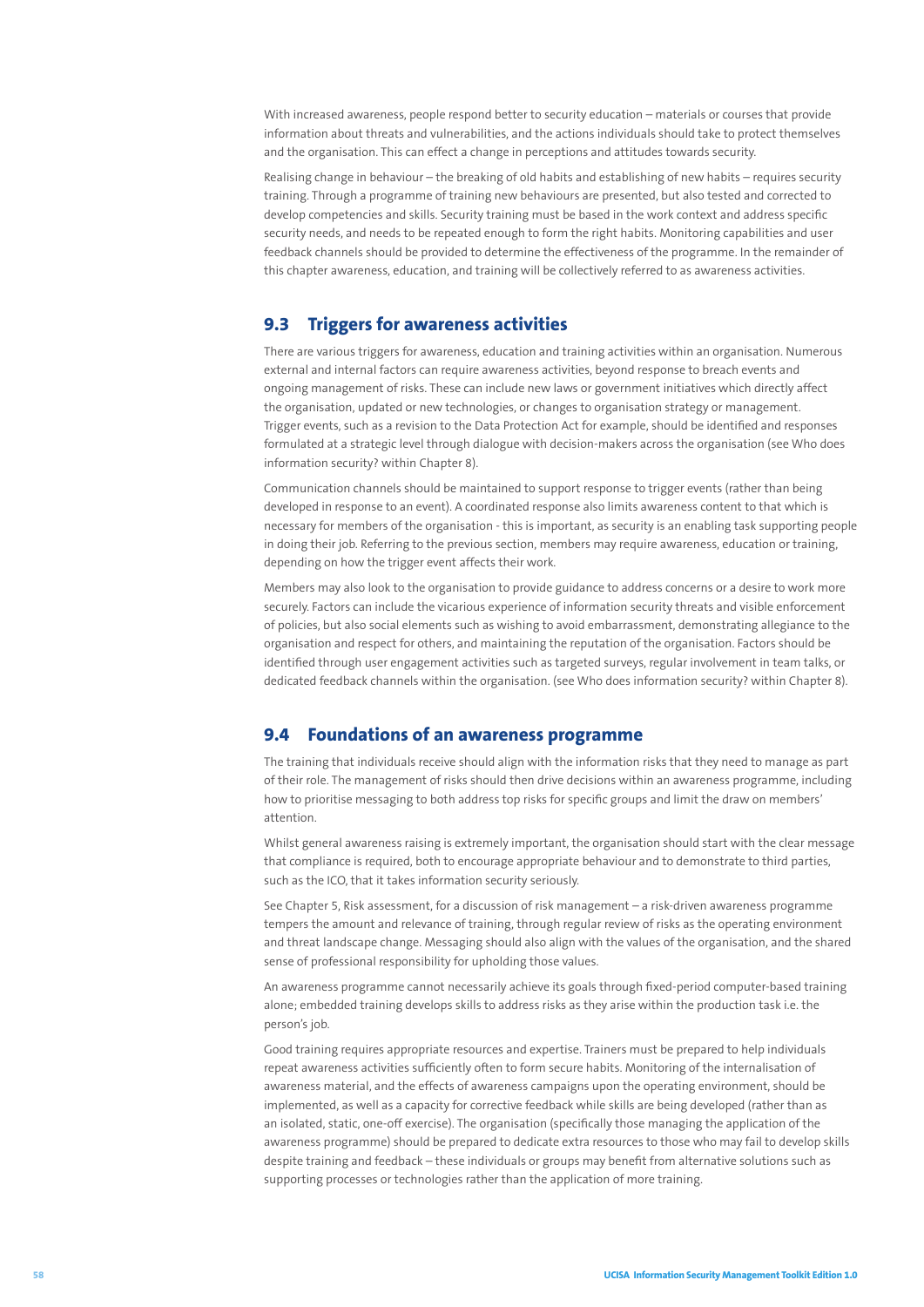With increased awareness, people respond better to security education – materials or courses that provide information about threats and vulnerabilities, and the actions individuals should take to protect themselves and the organisation. This can effect a change in perceptions and attitudes towards security.

Realising change in behaviour – the breaking of old habits and establishing of new habits – requires security training. Through a programme of training new behaviours are presented, but also tested and corrected to develop competencies and skills. Security training must be based in the work context and address specific security needs, and needs to be repeated enough to form the right habits. Monitoring capabilities and user feedback channels should be provided to determine the effectiveness of the programme. In the remainder of this chapter awareness, education, and training will be collectively referred to as awareness activities.

## **9.3 Triggers for awareness activities**

There are various triggers for awareness, education and training activities within an organisation. Numerous external and internal factors can require awareness activities, beyond response to breach events and ongoing management of risks. These can include new laws or government initiatives which directly affect the organisation, updated or new technologies, or changes to organisation strategy or management. Trigger events, such as a revision to the Data Protection Act for example, should be identified and responses formulated at a strategic level through dialogue with decision-makers across the organisation (see Who does information security? within Chapter 8).

Communication channels should be maintained to support response to trigger events (rather than being developed in response to an event). A coordinated response also limits awareness content to that which is necessary for members of the organisation - this is important, as security is an enabling task supporting people in doing their job. Referring to the previous section, members may require awareness, education or training, depending on how the trigger event affects their work.

Members may also look to the organisation to provide guidance to address concerns or a desire to work more securely. Factors can include the vicarious experience of information security threats and visible enforcement of policies, but also social elements such as wishing to avoid embarrassment, demonstrating allegiance to the organisation and respect for others, and maintaining the reputation of the organisation. Factors should be identified through user engagement activities such as targeted surveys, regular involvement in team talks, or dedicated feedback channels within the organisation. (see Who does information security? within Chapter 8).

### **9.4 Foundations of an awareness programme**

The training that individuals receive should align with the information risks that they need to manage as part of their role. The management of risks should then drive decisions within an awareness programme, including how to prioritise messaging to both address top risks for specific groups and limit the draw on members' attention.

Whilst general awareness raising is extremely important, the organisation should start with the clear message that compliance is required, both to encourage appropriate behaviour and to demonstrate to third parties, such as the ICO, that it takes information security seriously.

See Chapter 5, Risk assessment, for a discussion of risk management – a risk-driven awareness programme tempers the amount and relevance of training, through regular review of risks as the operating environment and threat landscape change. Messaging should also align with the values of the organisation, and the shared sense of professional responsibility for upholding those values.

An awareness programme cannot necessarily achieve its goals through fixed-period computer-based training alone; embedded training develops skills to address risks as they arise within the production task i.e. the person's job.

Good training requires appropriate resources and expertise. Trainers must be prepared to help individuals repeat awareness activities sufficiently often to form secure habits. Monitoring of the internalisation of awareness material, and the effects of awareness campaigns upon the operating environment, should be implemented, as well as a capacity for corrective feedback while skills are being developed (rather than as an isolated, static, one-off exercise). The organisation (specifically those managing the application of the awareness programme) should be prepared to dedicate extra resources to those who may fail to develop skills despite training and feedback – these individuals or groups may benefit from alternative solutions such as supporting processes or technologies rather than the application of more training.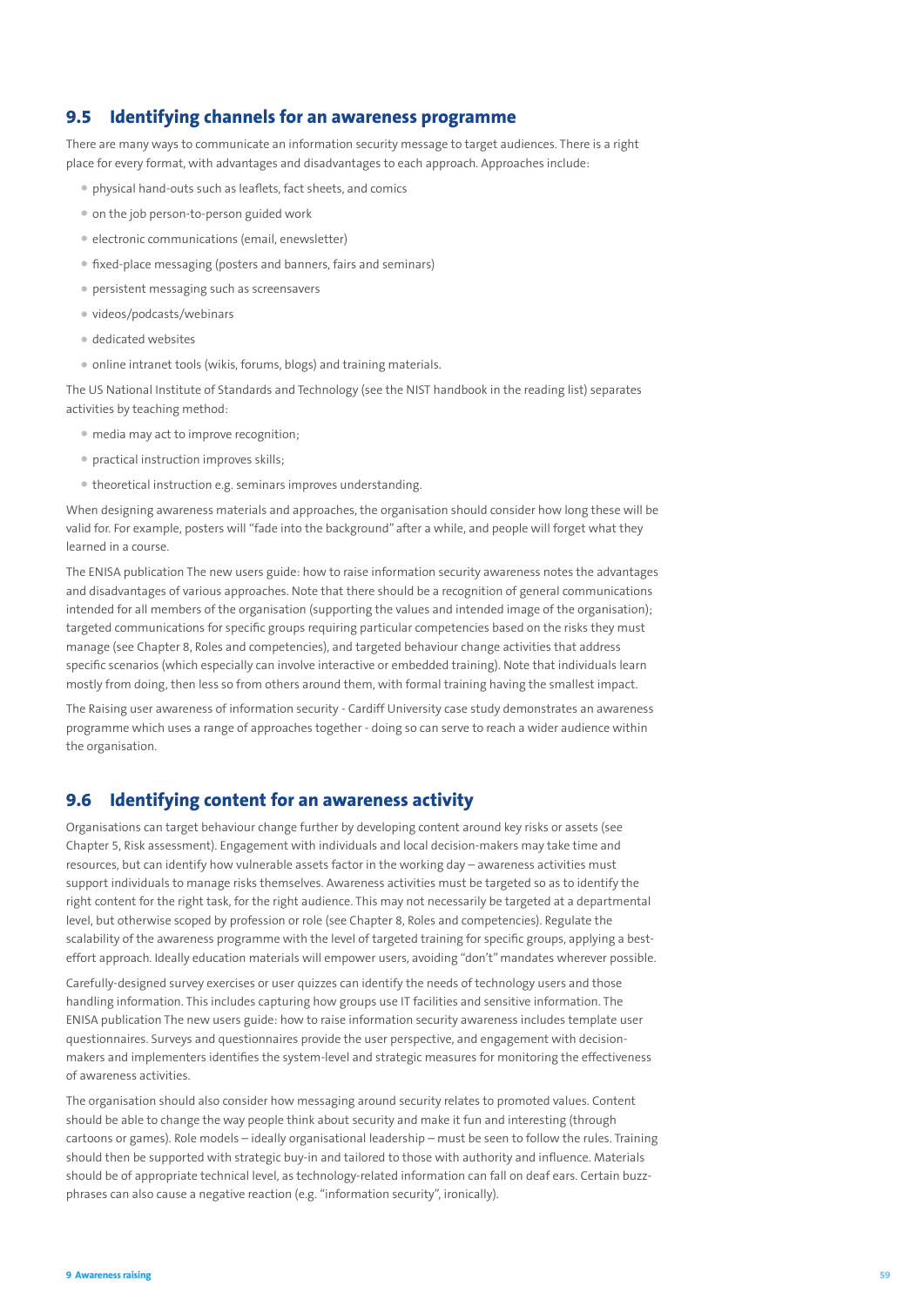### **9.5 Identifying channels for an awareness programme**

There are many ways to communicate an information security message to target audiences. There is a right place for every format, with advantages and disadvantages to each approach. Approaches include:

- physical hand-outs such as leaflets, fact sheets, and comics
- on the job person-to-person guided work
- electronic communications (email, enewsletter)
- fixed-place messaging (posters and banners, fairs and seminars)
- persistent messaging such as screensavers
- videos/podcasts/webinars
- dedicated websites
- online intranet tools (wikis, forums, blogs) and training materials.

The US National Institute of Standards and Technology (see the NIST handbook in the reading list) separates activities by teaching method:

- media may act to improve recognition;
- practical instruction improves skills;
- theoretical instruction e.g. seminars improves understanding.

When designing awareness materials and approaches, the organisation should consider how long these will be valid for. For example, posters will "fade into the background" after a while, and people will forget what they learned in a course.

The ENISA publication The new users guide: how to raise information security awareness notes the advantages and disadvantages of various approaches. Note that there should be a recognition of general communications intended for all members of the organisation (supporting the values and intended image of the organisation); targeted communications for specific groups requiring particular competencies based on the risks they must manage (see Chapter 8, Roles and competencies), and targeted behaviour change activities that address specific scenarios (which especially can involve interactive or embedded training). Note that individuals learn mostly from doing, then less so from others around them, with formal training having the smallest impact.

The Raising user awareness of information security - Cardiff University case study demonstrates an awareness programme which uses a range of approaches together - doing so can serve to reach a wider audience within the organisation.

### **9.6 Identifying content for an awareness activity**

Organisations can target behaviour change further by developing content around key risks or assets (see Chapter 5, Risk assessment). Engagement with individuals and local decision-makers may take time and resources, but can identify how vulnerable assets factor in the working day – awareness activities must support individuals to manage risks themselves. Awareness activities must be targeted so as to identify the right content for the right task, for the right audience. This may not necessarily be targeted at a departmental level, but otherwise scoped by profession or role (see Chapter 8, Roles and competencies). Regulate the scalability of the awareness programme with the level of targeted training for specific groups, applying a besteffort approach. Ideally education materials will empower users, avoiding "don't" mandates wherever possible.

Carefully-designed survey exercises or user quizzes can identify the needs of technology users and those handling information. This includes capturing how groups use IT facilities and sensitive information. The ENISA publication The new users guide: how to raise information security awareness includes template user questionnaires. Surveys and questionnaires provide the user perspective, and engagement with decisionmakers and implementers identifies the system-level and strategic measures for monitoring the effectiveness of awareness activities.

The organisation should also consider how messaging around security relates to promoted values. Content should be able to change the way people think about security and make it fun and interesting (through cartoons or games). Role models – ideally organisational leadership – must be seen to follow the rules. Training should then be supported with strategic buy-in and tailored to those with authority and influence. Materials should be of appropriate technical level, as technology-related information can fall on deaf ears. Certain buzzphrases can also cause a negative reaction (e.g. "information security", ironically).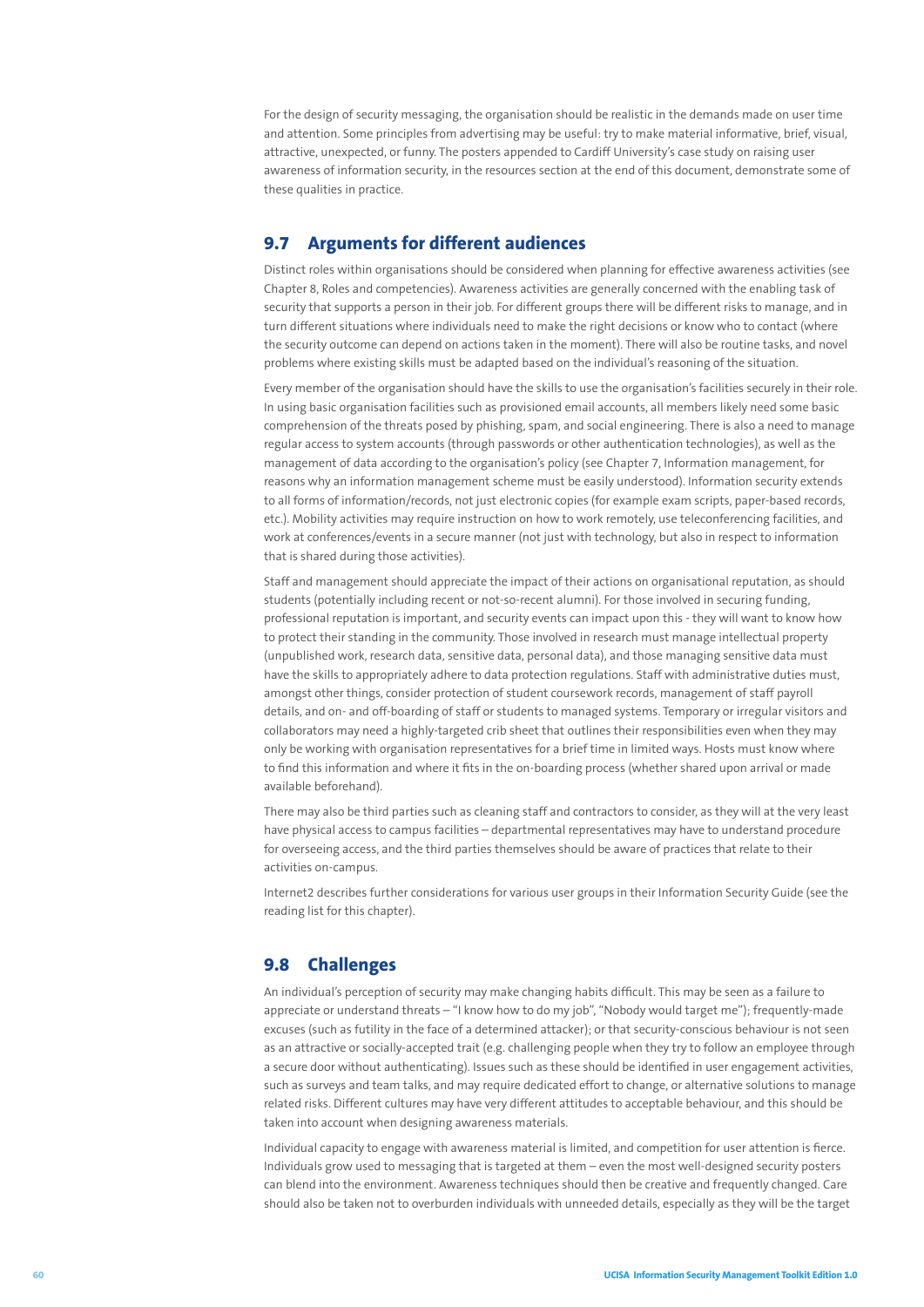For the design of security messaging, the organisation should be realistic in the demands made on user time and attention. Some principles from advertising may be useful: try to make material informative, brief, visual, attractive, unexpected, or funny. The posters appended to Cardiff University's case study on raising user awareness of information security, in the resources section at the end of this document, demonstrate some of these qualities in practice.

## **9.7 Arguments for different audiences**

Distinct roles within organisations should be considered when planning for effective awareness activities (see Chapter 8, Roles and competencies). Awareness activities are generally concerned with the enabling task of security that supports a person in their job. For different groups there will be different risks to manage, and in turn different situations where individuals need to make the right decisions or know who to contact (where the security outcome can depend on actions taken in the moment). There will also be routine tasks, and novel problems where existing skills must be adapted based on the individual's reasoning of the situation.

Every member of the organisation should have the skills to use the organisation's facilities securely in their role. In using basic organisation facilities such as provisioned email accounts, all members likely need some basic comprehension of the threats posed by phishing, spam, and social engineering. There is also a need to manage regular access to system accounts (through passwords or other authentication technologies), as well as the management of data according to the organisation's policy (see Chapter 7, Information management, for reasons why an information management scheme must be easily understood). Information security extends to all forms of information/records, not just electronic copies (for example exam scripts, paper-based records, etc.). Mobility activities may require instruction on how to work remotely, use teleconferencing facilities, and work at conferences/events in a secure manner (not just with technology, but also in respect to information that is shared during those activities).

Staff and management should appreciate the impact of their actions on organisational reputation, as should students (potentially including recent or not-so-recent alumni). For those involved in securing funding, professional reputation is important, and security events can impact upon this - they will want to know how to protect their standing in the community. Those involved in research must manage intellectual property (unpublished work, research data, sensitive data, personal data), and those managing sensitive data must have the skills to appropriately adhere to data protection regulations. Staff with administrative duties must, amongst other things, consider protection of student coursework records, management of staff payroll details, and on- and off-boarding of staff or students to managed systems. Temporary or irregular visitors and collaborators may need a highly-targeted crib sheet that outlines their responsibilities even when they may only be working with organisation representatives for a brief time in limited ways. Hosts must know where to find this information and where it fits in the on-boarding process (whether shared upon arrival or made available beforehand).

There may also be third parties such as cleaning staff and contractors to consider, as they will at the very least have physical access to campus facilities – departmental representatives may have to understand procedure for overseeing access, and the third parties themselves should be aware of practices that relate to their activities on-campus.

Internet2 describes further considerations for various user groups in their Information Security Guide (see the reading list for this chapter).

# **9.8 Challenges**

An individual's perception of security may make changing habits difficult. This may be seen as a failure to appreciate or understand threats – "I know how to do my job", "Nobody would target me"); frequently-made excuses (such as futility in the face of a determined attacker); or that security-conscious behaviour is not seen as an attractive or socially-accepted trait (e.g. challenging people when they try to follow an employee through a secure door without authenticating). Issues such as these should be identified in user engagement activities, such as surveys and team talks, and may require dedicated effort to change, or alternative solutions to manage related risks. Different cultures may have very different attitudes to acceptable behaviour, and this should be taken into account when designing awareness materials.

Individual capacity to engage with awareness material is limited, and competition for user attention is fierce. Individuals grow used to messaging that is targeted at them – even the most well-designed security posters can blend into the environment. Awareness techniques should then be creative and frequently changed. Care should also be taken not to overburden individuals with unneeded details, especially as they will be the target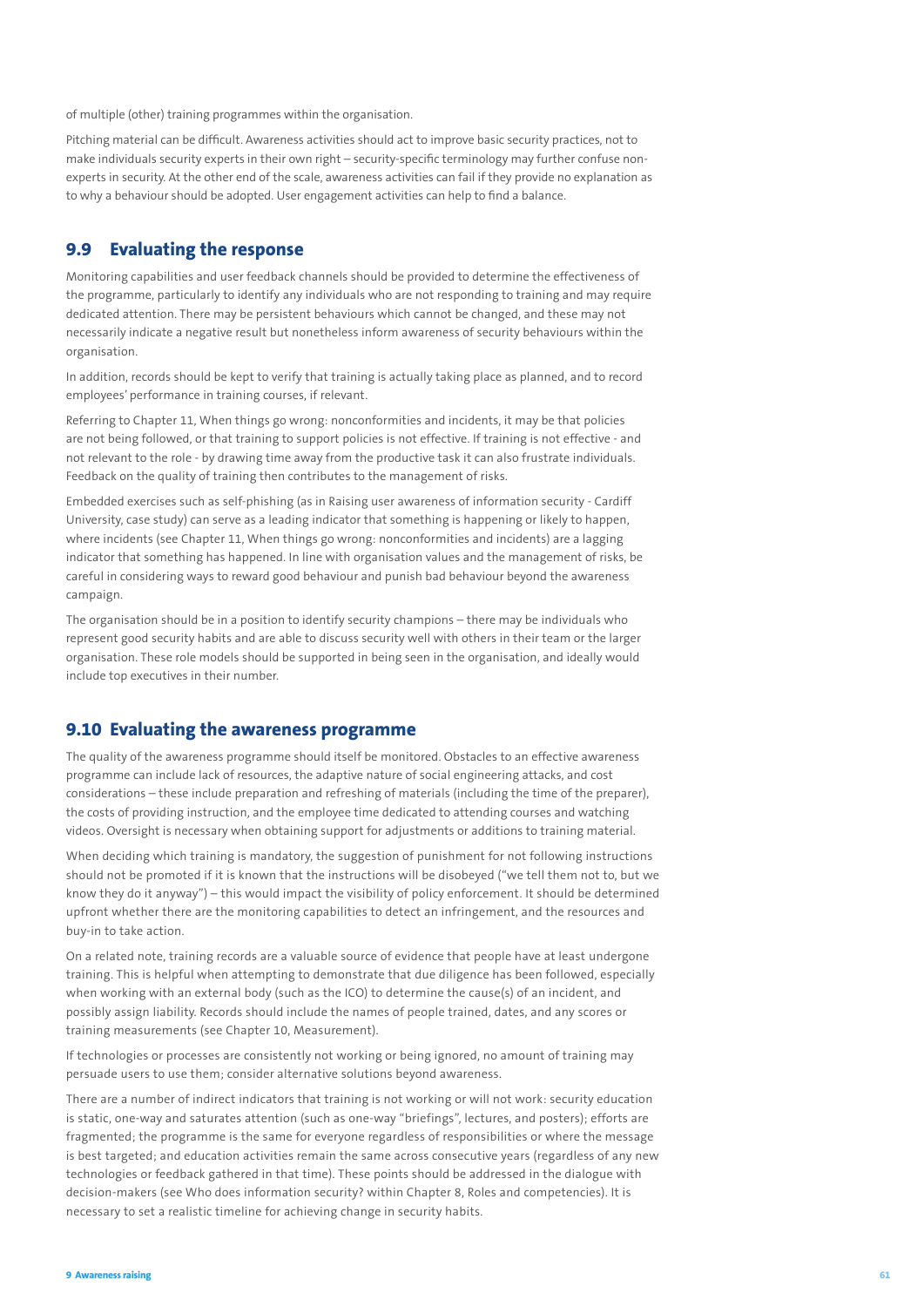of multiple (other) training programmes within the organisation.

Pitching material can be difficult. Awareness activities should act to improve basic security practices, not to make individuals security experts in their own right – security-specific terminology may further confuse nonexperts in security. At the other end of the scale, awareness activities can fail if they provide no explanation as to why a behaviour should be adopted. User engagement activities can help to find a balance.

### **9.9 Evaluating the response**

Monitoring capabilities and user feedback channels should be provided to determine the effectiveness of the programme, particularly to identify any individuals who are not responding to training and may require dedicated attention. There may be persistent behaviours which cannot be changed, and these may not necessarily indicate a negative result but nonetheless inform awareness of security behaviours within the organisation.

In addition, records should be kept to verify that training is actually taking place as planned, and to record employees' performance in training courses, if relevant.

Referring to Chapter 11, When things go wrong: nonconformities and incidents, it may be that policies are not being followed, or that training to support policies is not effective. If training is not effective - and not relevant to the role - by drawing time away from the productive task it can also frustrate individuals. Feedback on the quality of training then contributes to the management of risks.

Embedded exercises such as self-phishing (as in Raising user awareness of information security - Cardiff University, case study) can serve as a leading indicator that something is happening or likely to happen, where incidents (see Chapter 11, When things go wrong: nonconformities and incidents) are a lagging indicator that something has happened. In line with organisation values and the management of risks, be careful in considering ways to reward good behaviour and punish bad behaviour beyond the awareness campaign.

The organisation should be in a position to identify security champions – there may be individuals who represent good security habits and are able to discuss security well with others in their team or the larger organisation. These role models should be supported in being seen in the organisation, and ideally would include top executives in their number.

### **9.10 Evaluating the awareness programme**

The quality of the awareness programme should itself be monitored. Obstacles to an effective awareness programme can include lack of resources, the adaptive nature of social engineering attacks, and cost considerations – these include preparation and refreshing of materials (including the time of the preparer), the costs of providing instruction, and the employee time dedicated to attending courses and watching videos. Oversight is necessary when obtaining support for adjustments or additions to training material.

When deciding which training is mandatory, the suggestion of punishment for not following instructions should not be promoted if it is known that the instructions will be disobeyed ("we tell them not to, but we know they do it anyway") – this would impact the visibility of policy enforcement. It should be determined upfront whether there are the monitoring capabilities to detect an infringement, and the resources and buy-in to take action.

On a related note, training records are a valuable source of evidence that people have at least undergone training. This is helpful when attempting to demonstrate that due diligence has been followed, especially when working with an external body (such as the ICO) to determine the cause(s) of an incident, and possibly assign liability. Records should include the names of people trained, dates, and any scores or training measurements (see Chapter 10, Measurement).

If technologies or processes are consistently not working or being ignored, no amount of training may persuade users to use them; consider alternative solutions beyond awareness.

There are a number of indirect indicators that training is not working or will not work: security education is static, one-way and saturates attention (such as one-way "briefings", lectures, and posters); efforts are fragmented; the programme is the same for everyone regardless of responsibilities or where the message is best targeted; and education activities remain the same across consecutive years (regardless of any new technologies or feedback gathered in that time). These points should be addressed in the dialogue with decision-makers (see Who does information security? within Chapter 8, Roles and competencies). It is necessary to set a realistic timeline for achieving change in security habits.